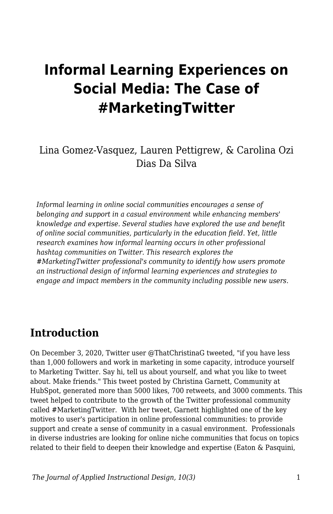# **Informal Learning Experiences on Social Media: The Case of #MarketingTwitter**

### Lina Gomez-Vasquez, Lauren Pettigrew, & Carolina Ozi Dias Da Silva

*Informal learning in online social communities encourages a sense of belonging and support in a casual environment while enhancing members' knowledge and expertise. Several studies have explored the use and benefit of online social communities, particularly in the education field. Yet, little research examines how informal learning occurs in other professional hashtag communities on Twitter. This research explores the #MarketingTwitter professional's community to identify how users promote an instructional design of informal learning experiences and strategies to engage and impact members in the community including possible new users.*

### **Introduction**

On December 3, 2020, Twitter user @ThatChristinaG tweeted, "if you have less than 1,000 followers and work in marketing in some capacity, introduce yourself to Marketing Twitter. Say hi, tell us about yourself, and what you like to tweet about. Make friends." This tweet posted by Christina Garnett, Community at HubSpot, generated more than 5000 likes, 700 retweets, and 3000 comments. This tweet helped to contribute to the growth of the Twitter professional community called #MarketingTwitter. With her tweet, Garnett highlighted one of the key motives to user's participation in online professional communities: to provide support and create a sense of community in a casual environment. Professionals in diverse industries are looking for online niche communities that focus on topics related to their field to deepen their knowledge and expertise (Eaton & Pasquini,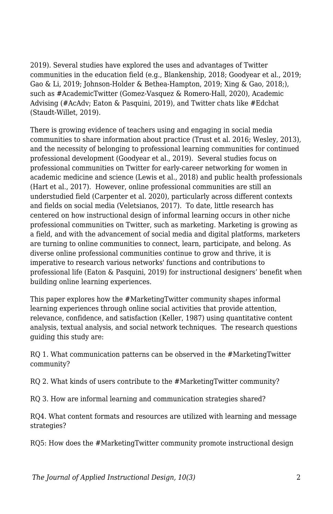2019). Several studies have explored the uses and advantages of Twitter communities in the education field (e.g., Blankenship, 2018; Goodyear et al., 2019; Gao & Li, 2019; Johnson-Holder & Bethea-Hampton, 2019; Xing & Gao, 2018;), such as #AcademicTwitter (Gomez-Vasquez & Romero-Hall, 2020), Academic Advising (#AcAdv; Eaton & Pasquini, 2019), and Twitter chats like #Edchat (Staudt-Willet, 2019).

There is growing evidence of teachers using and engaging in social media communities to share information about practice (Trust et al. 2016; Wesley, 2013), and the necessity of belonging to professional learning communities for continued professional development (Goodyear et al., 2019). Several studies focus on professional communities on Twitter for early-career networking for women in academic medicine and science (Lewis et al., 2018) and public health professionals (Hart et al., 2017). However, online professional communities are still an understudied field (Carpenter et al. 2020), particularly across different contexts and fields on social media (Veletsianos, 2017). To date, little research has centered on how instructional design of informal learning occurs in other niche professional communities on Twitter, such as marketing. Marketing is growing as a field, and with the advancement of social media and digital platforms, marketers are turning to online communities to connect, learn, participate, and belong. As diverse online professional communities continue to grow and thrive, it is imperative to research various networks' functions and contributions to professional life (Eaton & Pasquini, 2019) for instructional designers' benefit when building online learning experiences.

This paper explores how the #MarketingTwitter community shapes informal learning experiences through online social activities that provide attention, relevance, confidence, and satisfaction (Keller, 1987) using quantitative content analysis, textual analysis, and social network techniques. The research questions guiding this study are:

RQ 1. What communication patterns can be observed in the #MarketingTwitter community?

RQ 2. What kinds of users contribute to the #MarketingTwitter community?

RQ 3. How are informal learning and communication strategies shared?

RQ4. What content formats and resources are utilized with learning and message strategies?

RQ5: How does the #MarketingTwitter community promote instructional design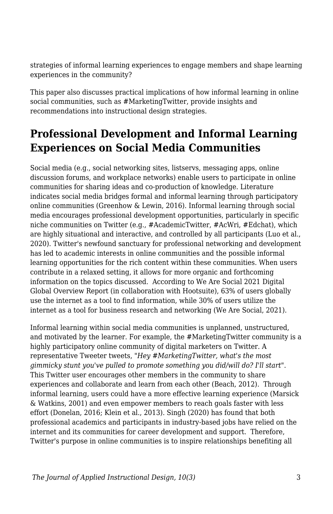strategies of informal learning experiences to engage members and shape learning experiences in the community?

This paper also discusses practical implications of how informal learning in online social communities, such as #MarketingTwitter, provide insights and recommendations into instructional design strategies.

### **Professional Development and Informal Learning Experiences on Social Media Communities**

Social media (e.g., social networking sites, listservs, messaging apps, online discussion forums, and workplace networks) enable users to participate in online communities for sharing ideas and co-production of knowledge. Literature indicates social media bridges formal and informal learning through participatory online communities (Greenhow & Lewin, 2016). Informal learning through social media encourages professional development opportunities, particularly in specific niche communities on Twitter (e.g., #AcademicTwitter, #AcWri, #Edchat), which are highly situational and interactive, and controlled by all participants (Luo et al., 2020). Twitter's newfound sanctuary for professional networking and development has led to academic interests in online communities and the possible informal learning opportunities for the rich content within these communities. When users contribute in a relaxed setting, it allows for more organic and forthcoming information on the topics discussed. According to We Are Social 2021 Digital Global Overview Report (in collaboration with Hootsuite), 63% of users globally use the internet as a tool to find information, while 30% of users utilize the internet as a tool for business research and networking (We Are Social, 2021).

Informal learning within social media communities is unplanned, unstructured, and motivated by the learner. For example, the #MarketingTwitter community is a highly participatory online community of digital marketers on Twitter. A representative Tweeter tweets, "*Hey #MarketingTwitter, what's the most gimmicky stunt you've pulled to promote something you did/will do? I'll start*". This Twitter user encourages other members in the community to share experiences and collaborate and learn from each other (Beach, 2012). Through informal learning, users could have a more effective learning experience (Marsick & Watkins, 2001) and even empower members to reach goals faster with less effort (Donelan, 2016; Klein et al., 2013). Singh (2020) has found that both professional academics and participants in industry-based jobs have relied on the internet and its communities for career development and support. Therefore, Twitter's purpose in online communities is to inspire relationships benefiting all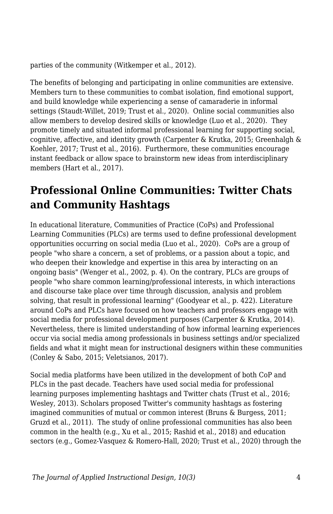parties of the community (Witkemper et al., 2012).

The benefits of belonging and participating in online communities are extensive. Members turn to these communities to combat isolation, find emotional support, and build knowledge while experiencing a sense of camaraderie in informal settings (Staudt-Willet, 2019; Trust et al., 2020). Online social communities also allow members to develop desired skills or knowledge (Luo et al., 2020). They promote timely and situated informal professional learning for supporting social, cognitive, affective, and identity growth (Carpenter & Krutka, 2015; Greenhalgh & Koehler, 2017; Trust et al., 2016). Furthermore, these communities encourage instant feedback or allow space to brainstorm new ideas from interdisciplinary members (Hart et al., 2017).

### **Professional Online Communities: Twitter Chats and Community Hashtags**

In educational literature, Communities of Practice (CoPs) and Professional Learning Communities (PLCs) are terms used to define professional development opportunities occurring on social media (Luo et al., 2020). CoPs are a group of people "who share a concern, a set of problems, or a passion about a topic, and who deepen their knowledge and expertise in this area by interacting on an ongoing basis" (Wenger et al., 2002, p. 4). On the contrary, PLCs are groups of people "who share common learning/professional interests, in which interactions and discourse take place over time through discussion, analysis and problem solving, that result in professional learning" (Goodyear et al., p. 422). Literature around CoPs and PLCs have focused on how teachers and professors engage with social media for professional development purposes (Carpenter & Krutka, 2014). Nevertheless, there is limited understanding of how informal learning experiences occur via social media among professionals in business settings and/or specialized fields and what it might mean for instructional designers within these communities (Conley & Sabo, 2015; Veletsianos, 2017).

Social media platforms have been utilized in the development of both CoP and PLCs in the past decade. Teachers have used social media for professional learning purposes implementing hashtags and Twitter chats (Trust et al., 2016; Wesley, 2013). Scholars proposed Twitter's community hashtags as fostering imagined communities of mutual or common interest (Bruns & Burgess, 2011; Gruzd et al., 2011). The study of online professional communities has also been common in the health (e.g., Xu et al., 2015; Rashid et al., 2018) and education sectors (e.g., Gomez-Vasquez & Romero-Hall, 2020; Trust et al., 2020) through the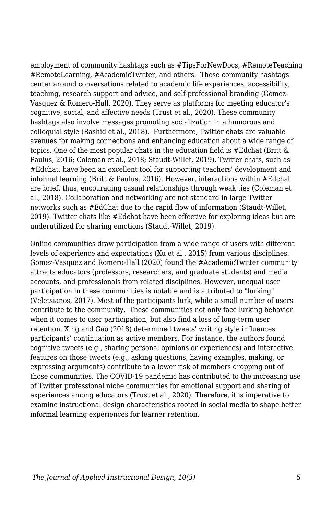employment of community hashtags such as #TipsForNewDocs, #RemoteTeaching #RemoteLearning, #AcademicTwitter, and others. These community hashtags center around conversations related to academic life experiences, accessibility, teaching, research support and advice, and self-professional branding (Gomez-Vasquez & Romero-Hall, 2020). They serve as platforms for meeting educator's cognitive, social, and affective needs (Trust et al., 2020). These community hashtags also involve messages promoting socialization in a humorous and colloquial style (Rashid et al., 2018). Furthermore, Twitter chats are valuable avenues for making connections and enhancing education about a wide range of topics. One of the most popular chats in the education field is #Edchat (Britt & Paulus, 2016; Coleman et al., 2018; Staudt-Willet, 2019). Twitter chats, such as #Edchat, have been an excellent tool for supporting teachers' development and informal learning (Britt & Paulus, 2016). However, interactions within #Edchat are brief, thus, encouraging casual relationships through weak ties (Coleman et al., 2018). Collaboration and networking are not standard in large Twitter networks such as #EdChat due to the rapid flow of information (Staudt-Willet, 2019). Twitter chats like #Edchat have been effective for exploring ideas but are underutilized for sharing emotions (Staudt-Willet, 2019).

Online communities draw participation from a wide range of users with different levels of experience and expectations (Xu et al., 2015) from various disciplines. Gomez-Vasquez and Romero-Hall (2020) found the #AcademicTwitter community attracts educators (professors, researchers, and graduate students) and media accounts, and professionals from related disciplines. However, unequal user participation in these communities is notable and is attributed to "lurking" (Veletsianos, 2017). Most of the participants lurk, while a small number of users contribute to the community. These communities not only face lurking behavior when it comes to user participation, but also find a loss of long-term user retention. Xing and Gao (2018) determined tweets' writing style influences participants' continuation as active members. For instance, the authors found cognitive tweets (e.g., sharing personal opinions or experiences) and interactive features on those tweets (e.g., asking questions, having examples, making, or expressing arguments) contribute to a lower risk of members dropping out of those communities. The COVID-19 pandemic has contributed to the increasing use of Twitter professional niche communities for emotional support and sharing of experiences among educators (Trust et al., 2020). Therefore, it is imperative to examine instructional design characteristics rooted in social media to shape better informal learning experiences for learner retention.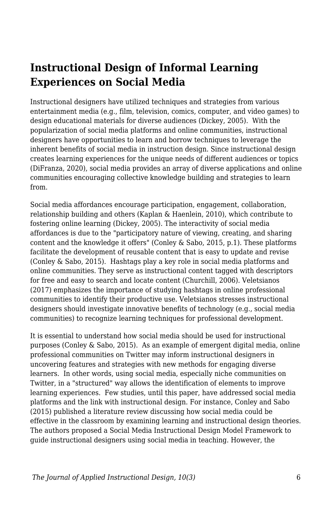### **Instructional Design of Informal Learning Experiences on Social Media**

Instructional designers have utilized techniques and strategies from various entertainment media (e.g., film, television, comics, computer, and video games) to design educational materials for diverse audiences (Dickey, 2005). With the popularization of social media platforms and online communities, instructional designers have opportunities to learn and borrow techniques to leverage the inherent benefits of social media in instruction design. Since instructional design creates learning experiences for the unique needs of different audiences or topics (DiFranza, 2020), social media provides an array of diverse applications and online communities encouraging collective knowledge building and strategies to learn from.

Social media affordances encourage participation, engagement, collaboration, relationship building and others (Kaplan & Haenlein, 2010), which contribute to fostering online learning (Dickey, 2005). The interactivity of social media affordances is due to the "participatory nature of viewing, creating, and sharing content and the knowledge it offers" (Conley & Sabo, 2015, p.1). These platforms facilitate the development of reusable content that is easy to update and revise (Conley & Sabo, 2015). Hashtags play a key role in social media platforms and online communities. They serve as instructional content tagged with descriptors for free and easy to search and locate content (Churchill, 2006). Veletsianos (2017) emphasizes the importance of studying hashtags in online professional communities to identify their productive use. Veletsianos stresses instructional designers should investigate innovative benefits of technology (e.g., social media communities) to recognize learning techniques for professional development.

It is essential to understand how social media should be used for instructional purposes (Conley & Sabo, 2015). As an example of emergent digital media, online professional communities on Twitter may inform instructional designers in uncovering features and strategies with new methods for engaging diverse learners. In other words, using social media, especially niche communities on Twitter, in a "structured" way allows the identification of elements to improve learning experiences. Few studies, until this paper, have addressed social media platforms and the link with instructional design. For instance, Conley and Sabo (2015) published a literature review discussing how social media could be effective in the classroom by examining learning and instructional design theories. The authors proposed a Social Media Instructional Design Model Framework to guide instructional designers using social media in teaching. However, the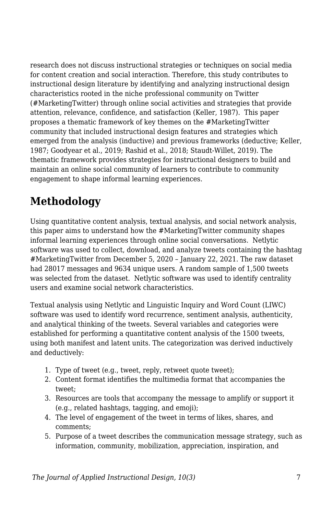research does not discuss instructional strategies or techniques on social media for content creation and social interaction. Therefore, this study contributes to instructional design literature by identifying and analyzing instructional design characteristics rooted in the niche professional community on Twitter (#MarketingTwitter) through online social activities and strategies that provide attention, relevance, confidence, and satisfaction (Keller, 1987). This paper proposes a thematic framework of key themes on the #MarketingTwitter community that included instructional design features and strategies which emerged from the analysis (inductive) and previous frameworks (deductive; Keller, 1987; Goodyear et al., 2019; Rashid et al., 2018; Staudt-Willet, 2019). The thematic framework provides strategies for instructional designers to build and maintain an online social community of learners to contribute to community engagement to shape informal learning experiences.

# **Methodology**

Using quantitative content analysis, textual analysis, and social network analysis, this paper aims to understand how the #MarketingTwitter community shapes informal learning experiences through online social conversations. Netlytic software was used to collect, download, and analyze tweets containing the hashtag #MarketingTwitter from December 5, 2020 – January 22, 2021. The raw dataset had 28017 messages and 9634 unique users. A random sample of 1,500 tweets was selected from the dataset. Netlytic software was used to identify centrality users and examine social network characteristics.

Textual analysis using Netlytic and Linguistic Inquiry and Word Count (LIWC) software was used to identify word recurrence, sentiment analysis, authenticity, and analytical thinking of the tweets. Several variables and categories were established for performing a quantitative content analysis of the 1500 tweets, using both manifest and latent units. The categorization was derived inductively and deductively:

- 1. Type of tweet (e.g., tweet, reply, retweet quote tweet);
- 2. Content format identifies the multimedia format that accompanies the tweet;
- 3. Resources are tools that accompany the message to amplify or support it (e.g., related hashtags, tagging, and emoji);
- 4. The level of engagement of the tweet in terms of likes, shares, and comments;
- 5. Purpose of a tweet describes the communication message strategy, such as information, community, mobilization, appreciation, inspiration, and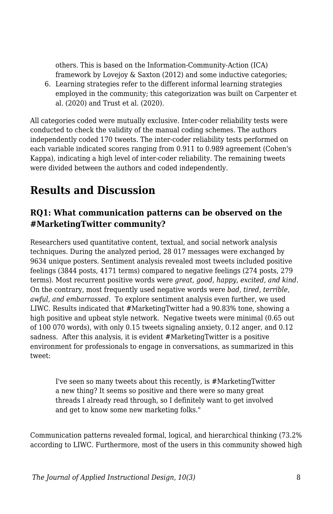others. This is based on the Information-Community-Action (ICA) framework by Lovejoy & Saxton (2012) and some inductive categories;

6. Learning strategies refer to the different informal learning strategies employed in the community; this categorization was built on Carpenter et al. (2020) and Trust et al. (2020).

All categories coded were mutually exclusive. Inter-coder reliability tests were conducted to check the validity of the manual coding schemes. The authors independently coded 170 tweets. The inter-coder reliability tests performed on each variable indicated scores ranging from 0.911 to 0.989 agreement (Cohen's Kappa), indicating a high level of inter-coder reliability. The remaining tweets were divided between the authors and coded independently.

# **Results and Discussion**

### **RQ1: What communication patterns can be observed on the #MarketingTwitter community?**

Researchers used quantitative content, textual, and social network analysis techniques. During the analyzed period, 28 017 messages were exchanged by 9634 unique posters. Sentiment analysis revealed most tweets included positive feelings (3844 posts, 4171 terms) compared to negative feelings (274 posts, 279 terms). Most recurrent positive words were *great, good, happy, excited, and kind*. On the contrary, most frequently used negative words were *bad, tired, terrible, awful, and embarrassed*. To explore sentiment analysis even further, we used LIWC. Results indicated that #MarketingTwitter had a 90.83% tone, showing a high positive and upbeat style network. Negative tweets were minimal (0.65 out of 100 070 words), with only 0.15 tweets signaling anxiety, 0.12 anger, and 0.12 sadness. After this analysis, it is evident #MarketingTwitter is a positive environment for professionals to engage in conversations, as summarized in this tweet:

I've seen so many tweets about this recently, is #MarketingTwitter a new thing? It seems so positive and there were so many great threads I already read through, so I definitely want to get involved and get to know some new marketing folks."

Communication patterns revealed formal, logical, and hierarchical thinking (73.2% according to LIWC. Furthermore, most of the users in this community showed high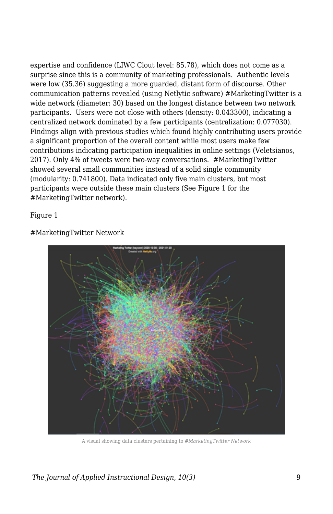expertise and confidence (LIWC Clout level: 85.78), which does not come as a surprise since this is a community of marketing professionals. Authentic levels were low (35.36) suggesting a more guarded, distant form of discourse. Other communication patterns revealed (using Netlytic software) #MarketingTwitter is a wide network (diameter: 30) based on the longest distance between two network participants. Users were not close with others (density: 0.043300), indicating a centralized network dominated by a few participants (centralization: 0.077030). Findings align with previous studies which found highly contributing users provide a significant proportion of the overall content while most users make few contributions indicating participation inequalities in online settings (Veletsianos, 2017). Only 4% of tweets were two-way conversations. #MarketingTwitter showed several small communities instead of a solid single community (modularity: 0.741800). Data indicated only five main clusters, but most participants were outside these main clusters (See Figure 1 for the #MarketingTwitter network).

Figure 1

#MarketingTwitter Network



A visual showing data clusters pertaining to *#MarketingTwitter Network*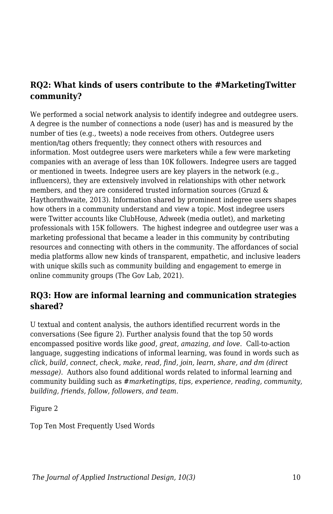#### **RQ2: What kinds of users contribute to the #MarketingTwitter community?**

We performed a social network analysis to identify indegree and outdegree users. A degree is the number of connections a node (user) has and is measured by the number of ties (e.g., tweets) a node receives from others. Outdegree users mention/tag others frequently; they connect others with resources and information. Most outdegree users were marketers while a few were marketing companies with an average of less than 10K followers. Indegree users are tagged or mentioned in tweets. Indegree users are key players in the network (e.g., influencers), they are extensively involved in relationships with other network members, and they are considered trusted information sources (Gruzd & Haythornthwaite, 2013). Information shared by prominent indegree users shapes how others in a community understand and view a topic. Most indegree users were Twitter accounts like ClubHouse, Adweek (media outlet), and marketing professionals with 15K followers. The highest indegree and outdegree user was a marketing professional that became a leader in this community by contributing resources and connecting with others in the community. The affordances of social media platforms allow new kinds of transparent, empathetic, and inclusive leaders with unique skills such as community building and engagement to emerge in online community groups (The Gov Lab, 2021).

#### **RQ3: How are informal learning and communication strategies shared?**

U textual and content analysis, the authors identified recurrent words in the conversations (See figure 2). Further analysis found that the top 50 words encompassed positive words like *good, great, amazing, and love*. Call-to-action language, suggesting indications of informal learning, was found in words such as *click, build, connect, check, make, read, find, join, learn, share, and dm (direct message)*. Authors also found additional words related to informal learning and community building such as *#marketingtips, tips, experience, reading, community, building, friends, follow, followers, and team*.

Figure 2

Top Ten Most Frequently Used Words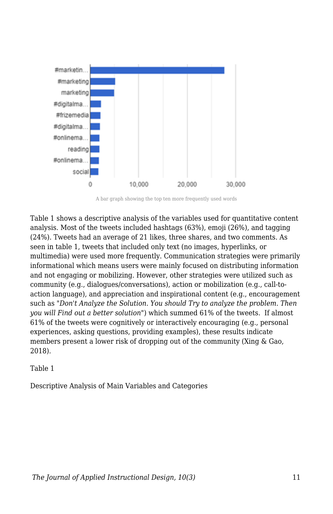

A bar graph showing the top ten more frequently used words

Table 1 shows a descriptive analysis of the variables used for quantitative content analysis. Most of the tweets included hashtags (63%), emoji (26%), and tagging (24%). Tweets had an average of 21 likes, three shares, and two comments. As seen in table 1, tweets that included only text (no images, hyperlinks, or multimedia) were used more frequently. Communication strategies were primarily informational which means users were mainly focused on distributing information and not engaging or mobilizing. However, other strategies were utilized such as community (e.g., dialogues/conversations), action or mobilization (e.g., call-toaction language), and appreciation and inspirational content (e.g., encouragement such as "*Don't Analyze the Solution. You should Try to analyze the problem. Then you will Find out a better solution*") which summed 61% of the tweets. If almost 61% of the tweets were cognitively or interactively encouraging (e.g., personal experiences, asking questions, providing examples), these results indicate members present a lower risk of dropping out of the community (Xing & Gao, 2018).

#### Table 1

Descriptive Analysis of Main Variables and Categories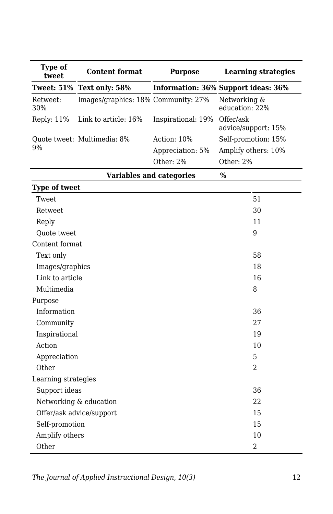| Type of<br>tweet | <b>Content format</b>               | <b>Purpose</b>     | <b>Learning strategies</b>          |
|------------------|-------------------------------------|--------------------|-------------------------------------|
|                  | Tweet: 51% Text only: 58%           |                    | Information: 36% Support ideas: 36% |
| Retweet:<br>30%  | Images/graphics: 18% Community: 27% |                    | Networking &<br>education: 22%      |
| Reply: $11%$     | Link to article: 16%                | Inspirational: 19% | Offer/ask<br>advice/support: 15%    |
| 9%               | Quote tweet: Multimedia: 8%         | Action: $10\%$     | Self-promotion: 15%                 |
|                  |                                     | Appreciation: 5%   | Amplify others: 10%                 |
|                  |                                     | Other: $2\%$       | Other: $2\%$                        |
|                  | Variables and categories            | $\%$               |                                     |

| <b>Type of tweet</b>     |    |
|--------------------------|----|
| Tweet                    | 51 |
| Retweet                  | 30 |
| Reply                    | 11 |
| <b>Ouote</b> tweet       | 9  |
| Content format           |    |
| Text only                | 58 |
| Images/graphics          | 18 |
| Link to article          | 16 |
| Multimedia               | 8  |
| Purpose                  |    |
| Information              | 36 |
| Community                | 27 |
| Inspirational            | 19 |
| Action                   | 10 |
| Appreciation             | 5  |
| Other                    | 2  |
| Learning strategies      |    |
| Support ideas            | 36 |
| Networking & education   | 22 |
| Offer/ask advice/support | 15 |
| Self-promotion           | 15 |
| Amplify others           | 10 |
| Other                    | 2  |

*The Journal of Applied Instructional Design, 10(3)* 12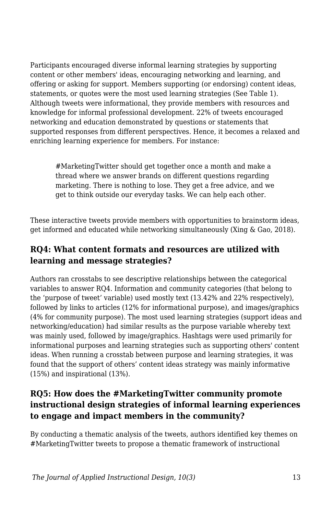Participants encouraged diverse informal learning strategies by supporting content or other members' ideas, encouraging networking and learning, and offering or asking for support. Members supporting (or endorsing) content ideas, statements, or quotes were the most used learning strategies (See Table 1). Although tweets were informational, they provide members with resources and knowledge for informal professional development. 22% of tweets encouraged networking and education demonstrated by questions or statements that supported responses from different perspectives. Hence, it becomes a relaxed and enriching learning experience for members. For instance:

#MarketingTwitter should get together once a month and make a thread where we answer brands on different questions regarding marketing. There is nothing to lose. They get a free advice, and we get to think outside our everyday tasks. We can help each other.

These interactive tweets provide members with opportunities to brainstorm ideas, get informed and educated while networking simultaneously (Xing & Gao, 2018).

### **RQ4: What content formats and resources are utilized with learning and message strategies?**

Authors ran crosstabs to see descriptive relationships between the categorical variables to answer RQ4. Information and community categories (that belong to the 'purpose of tweet' variable) used mostly text (13.42% and 22% respectively), followed by links to articles (12% for informational purpose), and images/graphics (4% for community purpose). The most used learning strategies (support ideas and networking/education) had similar results as the purpose variable whereby text was mainly used, followed by image/graphics. Hashtags were used primarily for informational purposes and learning strategies such as supporting others' content ideas. When running a crosstab between purpose and learning strategies, it was found that the support of others' content ideas strategy was mainly informative (15%) and inspirational (13%).

### **RQ5: How does the #MarketingTwitter community promote instructional design strategies of informal learning experiences to engage and impact members in the community?**

By conducting a thematic analysis of the tweets, authors identified key themes on #MarketingTwitter tweets to propose a thematic framework of instructional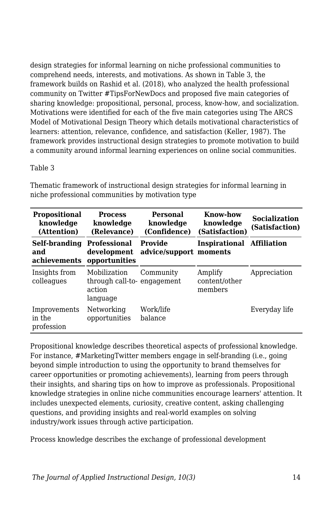design strategies for informal learning on niche professional communities to comprehend needs, interests, and motivations. As shown in Table 3, the framework builds on Rashid et al. (2018), who analyzed the health professional community on Twitter #TipsForNewDocs and proposed five main categories of sharing knowledge: propositional, personal, process, know-how, and socialization. Motivations were identified for each of the five main categories using The ARCS Model of Motivational Design Theory which details motivational characteristics of learners: attention, relevance, confidence, and satisfaction (Keller, 1987). The framework provides instructional design strategies to promote motivation to build a community around informal learning experiences on online social communities.

#### Table 3

| <b>Propositional</b><br>knowledge<br>(Attention) | <b>Process</b><br>knowledge<br>(Relevance)                       | Personal<br>knowledge<br>(Confidence) | Know-how<br>knowledge<br>(Satisfaction) | <b>Socialization</b><br>(Satisfaction) |
|--------------------------------------------------|------------------------------------------------------------------|---------------------------------------|-----------------------------------------|----------------------------------------|
| Self-branding<br>and<br>achievements             | Professional<br>development<br>opportunities                     | Provide<br>advice/support moments     | Inspirational                           | <b>Affiliation</b>                     |
| Insights from<br>colleagues                      | Mobilization<br>through call-to-engagement<br>action<br>language | Community                             | Amplify<br>content/other<br>members     | Appreciation                           |
| Improvements<br>in the<br>profession             | Networking<br>opportunities                                      | Work/life<br>balance                  |                                         | Everyday life                          |

Thematic framework of instructional design strategies for informal learning in niche professional communities by motivation type

Propositional knowledge describes theoretical aspects of professional knowledge. For instance, #MarketingTwitter members engage in self-branding (i.e., going beyond simple introduction to using the opportunity to brand themselves for career opportunities or promoting achievements), learning from peers through their insights, and sharing tips on how to improve as professionals. Propositional knowledge strategies in online niche communities encourage learners' attention. It includes unexpected elements, curiosity, creative content, asking challenging questions, and providing insights and real-world examples on solving industry/work issues through active participation.

Process knowledge describes the exchange of professional development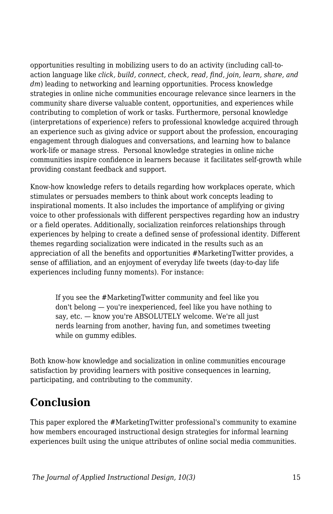opportunities resulting in mobilizing users to do an activity (including call-toaction language like *click, build, connect, check, read, find, join, learn, share, and dm*) leading to networking and learning opportunities. Process knowledge strategies in online niche communities encourage relevance since learners in the community share diverse valuable content, opportunities, and experiences while contributing to completion of work or tasks. Furthermore, personal knowledge (interpretations of experience) refers to professional knowledge acquired through an experience such as giving advice or support about the profession, encouraging engagement through dialogues and conversations, and learning how to balance work-life or manage stress. Personal knowledge strategies in online niche communities inspire confidence in learners because it facilitates self-growth while providing constant feedback and support.

Know-how knowledge refers to details regarding how workplaces operate, which stimulates or persuades members to think about work concepts leading to inspirational moments. It also includes the importance of amplifying or giving voice to other professionals with different perspectives regarding how an industry or a field operates. Additionally, socialization reinforces relationships through experiences by helping to create a defined sense of professional identity. Different themes regarding socialization were indicated in the results such as an appreciation of all the benefits and opportunities #MarketingTwitter provides, a sense of affiliation, and an enjoyment of everyday life tweets (day-to-day life experiences including funny moments). For instance:

If you see the #MarketingTwitter community and feel like you don't belong — you're inexperienced, feel like you have nothing to say, etc. — know you're ABSOLUTELY welcome. We're all just nerds learning from another, having fun, and sometimes tweeting while on gummy edibles.

Both know-how knowledge and socialization in online communities encourage satisfaction by providing learners with positive consequences in learning, participating, and contributing to the community.

### **Conclusion**

This paper explored the #MarketingTwitter professional's community to examine how members encouraged instructional design strategies for informal learning experiences built using the unique attributes of online social media communities.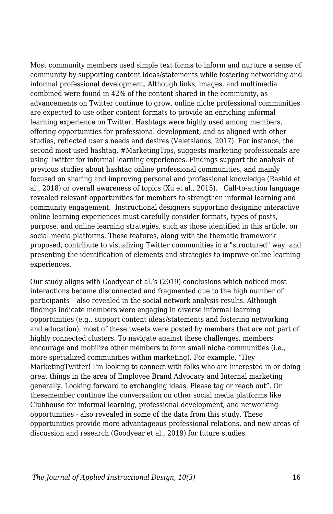Most community members used simple text forms to inform and nurture a sense of community by supporting content ideas/statements while fostering networking and informal professional development. Although links, images, and multimedia combined were found in 42% of the content shared in the community, as advancements on Twitter continue to grow, online niche professional communities are expected to use other content formats to provide an enriching informal learning experience on Twitter. Hashtags were highly used among members, offering opportunities for professional development, and as aligned with other studies, reflected user's needs and desires (Veletsianos, 2017). For instance, the second most used hashtag, #MarketingTips, suggests marketing professionals are using Twitter for informal learning experiences. Findings support the analysis of previous studies about hashtag online professional communities, and mainly focused on sharing and improving personal and professional knowledge (Rashid et al., 2018) or overall awareness of topics (Xu et al., 2015). Call-to-action language revealed relevant opportunities for members to strengthen informal learning and community engagement. Instructional designers supporting designing interactive online learning experiences must carefully consider formats, types of posts, purpose, and online learning strategies, such as those identified in this article, on social media platforms. These features, along with the thematic framework proposed, contribute to visualizing Twitter communities in a "structured" way, and presenting the identification of elements and strategies to improve online learning experiences.

Our study aligns with Goodyear et al.'s (2019) conclusions which noticed most interactions became disconnected and fragmented due to the high number of participants – also revealed in the social network analysis results. Although findings indicate members were engaging in diverse informal learning opportunities (e.g., support content ideas/statements and fostering networking and education), most of these tweets were posted by members that are not part of highly connected clusters. To navigate against these challenges, members encourage and mobilize other members to form small niche communities (i.e., more specialized communities within marketing). For example, "Hey MarketingTwitter! I'm looking to connect with folks who are interested in or doing great things in the area of Employee Brand Advocacy and Internal marketing generally. Looking forward to exchanging ideas. Please tag or reach out*"*. Or thesemember continue the conversation on other social media platforms like Clubhouse for informal learning, professional development, and networking opportunities - also revealed in some of the data from this study. These opportunities provide more advantageous professional relations, and new areas of discussion and research (Goodyear et al., 2019) for future studies.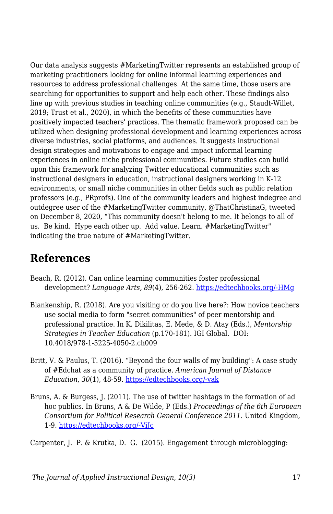Our data analysis suggests #MarketingTwitter represents an established group of marketing practitioners looking for online informal learning experiences and resources to address professional challenges. At the same time, those users are searching for opportunities to support and help each other. These findings also line up with previous studies in teaching online communities (e.g., Staudt-Willet, 2019; Trust et al., 2020), in which the benefits of these communities have positively impacted teachers' practices. The thematic framework proposed can be utilized when designing professional development and learning experiences across diverse industries, social platforms, and audiences. It suggests instructional design strategies and motivations to engage and impact informal learning experiences in online niche professional communities. Future studies can build upon this framework for analyzing Twitter educational communities such as instructional designers in education, instructional designers working in K-12 environments, or small niche communities in other fields such as public relation professors (e.g., PRprofs). One of the community leaders and highest indegree and outdegree user of the #MarketingTwitter community, @ThatChristinaG, tweeted on December 8, 2020, "This community doesn't belong to me. It belongs to all of us. Be kind. Hype each other up. Add value. Learn. #MarketingTwitter" indicating the true nature of #MarketingTwitter.

### **References**

- Beach, R. (2012). Can online learning communities foster professional development? *Language Arts, 89*(4), 256-262. [https://edtechbooks.org/-HMg](https://www.learntechlib.org/p/65374/)
- Blankenship, R. (2018). Are you visiting or do you live here?: How novice teachers use social media to form "secret communities" of peer mentorship and professional practice. In K. Dikilitas, E. Mede, & D. Atay (Eds.), *Mentorship Strategies in Teacher Education* (p.170-181). IGI Global. DOI: 10.4018/978-1-5225-4050-2.ch009
- Britt, V. & Paulus, T. (2016). "Beyond the four walls of my building": A case study of #Edchat as a community of practice. *American Journal of Distance Education*, *30*(1), 48-59. [https://edtechbooks.org/-vak](https://doi.org/10.1080/08923647.2016.1119609)
- Bruns, A. & Burgess, J. (2011). The use of twitter hashtags in the formation of ad hoc publics. In Bruns, A & De Wilde, P (Eds.) *Proceedings of the 6th European Consortium for Political Research General Conference 2011*. United Kingdom, 1-9. [https://edtechbooks.org/-ViJc](https://eprints.qut.edu.au/46515/)

Carpenter, J. P. & Krutka, D. G. (2015). Engagement through microblogging: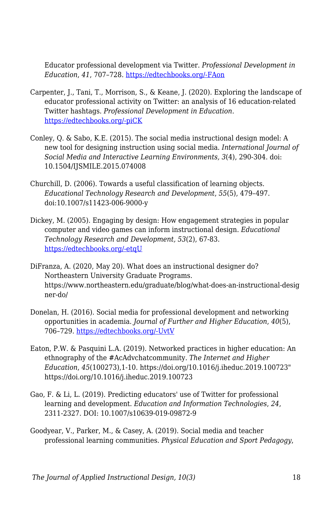Educator professional development via Twitter. *Professional Development in Education*, *41*, 707–728. [https://edtechbooks.org/-FAon](https://doi.org/10.1080/19415257.2014.939294)

- Carpenter, J., Tani, T., Morrison, S., & Keane, J. (2020). Exploring the landscape of educator professional activity on Twitter: an analysis of 16 education-related Twitter hashtags. *Professional Development in Education*. [https://edtechbooks.org/-piCK](https://doi.org/10.1080/19415257.2020.1752287)
- Conley, Q. & Sabo, K.E. (2015). The social media instructional design model: A new tool for designing instruction using social media. *International Journal of Social Media and Interactive Learning Environments, 3*(4), 290-304. doi: 10.1504/IJSMILE.2015.074008
- Churchill, D. (2006). Towards a useful classification of learning objects. *Educational Technology Research and Development*, *55*(5), 479–497. doi:10.1007/s11423-006-9000-y
- Dickey, M. (2005). Engaging by design: How engagement strategies in popular computer and video games can inform instructional design. *Educational Technology Research and Development, 53*(2), 67-83. [https://edtechbooks.org/-etqU](https://doi.org/10.1007/BF02504866)
- DiFranza, A. (2020, May 20). What does an instructional designer do? Northeastern University Graduate Programs. https://www.northeastern.edu/graduate/blog/what-does-an-instructional-desig ner-do/
- Donelan, H. (2016). Social media for professional development and networking opportunities in academia. *Journal of Further and Higher Education*, *40*(5), 706–729. [https://edtechbooks.org/-UvtV](https://doi.org/10.1080/0309877X.2015.1014321)
- Eaton, P.W. & Pasquini L.A. (2019). Networked practices in higher education: An ethnography of the #AcAdvchatcommunity. *The Internet and Higher Education*, *45*(100273),1-10. https://doi.org/10.1016/j.iheduc.2019.100723" https://doi.org/10.1016/j.iheduc.2019.100723
- Gao, F. & Li, L. (2019). Predicting educators' use of Twitter for professional learning and development. *Education and Information Technologies*, *24*, 2311-2327. DOI: 10.1007/s10639-019-09872-9
- Goodyear, V., Parker, M., & Casey, A. (2019). Social media and teacher professional learning communities. *Physical Education and Sport Pedagogy*,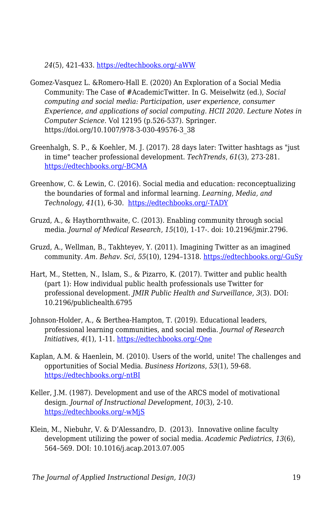*24*(5), 421-433. [https://edtechbooks.org/-aWW](https://doi.org/10.1080/17408989.2019.1617263)

- Gomez-Vasquez L. &Romero-Hall E. (2020) An Exploration of a Social Media Community: The Case of #AcademicTwitter. In G. Meiselwitz (ed.), *Social computing and social media: Participation, user experience, consumer Experience, and applications of social computing. HCII 2020. Lecture Notes in Computer Science.* Vol 12195 (p.526-537). Springer. https://doi.org/10.1007/978-3-030-49576-3\_38
- Greenhalgh, S. P., & Koehler, M. J. (2017). 28 days later: Twitter hashtags as "just in time" teacher professional development. *TechTrends*, *61*(3), 273-281. [https://edtechbooks.org/-BCMA](https://doi.org/10.1007/s11528-016-0142-4)
- Greenhow, C. & Lewin, C. (2016). Social media and education: reconceptualizing the boundaries of formal and informal learning. *Learning, Media, and Technology*, *41*(1), 6-30. [https://edtechbooks.org/-TADY](https://doi.org/10.1080/17439884.2015.1064954)
- Gruzd, A., & Haythornthwaite, C. (2013). Enabling community through social media. *Journal of Medical Research*, *15*(10), 1-17-. doi: 10.2196/jmir.2796.
- Gruzd, A., Wellman, B., Takhteyev, Y. (2011). Imagining Twitter as an imagined community. *Am. Behav. Sci*, *55*(10), 1294–1318. [https://edtechbooks.org/-GuSy](https://doi.org/10.1177/0002764211409378)
- Hart, M., Stetten, N., Islam, S., & Pizarro, K. (2017). Twitter and public health (part 1): How individual public health professionals use Twitter for professional development. *JMIR Public Health and Surveillance, 3*(3). DOI: 10.2196/publichealth.6795
- Johnson-Holder, A., & Berthea-Hampton, T. (2019). Educational leaders, professional learning communities, and social media. *Journal of Research Initiatives*, *4*(1), 1-11. [https://edtechbooks.org/-Qne](https://digitalcommons.uncfsu.edu/jri/vol4/iss3/2)
- Kaplan, A.M. & Haenlein, M. (2010). Users of the world, unite! The challenges and opportunities of Social Media. *Business Horizons*, *53*(1), 59-68. [https://edtechbooks.org/-ntBI](https://doi.org/10.1016/j.bushor.2009.09.003)
- Keller, J.M. (1987). Development and use of the ARCS model of motivational design. *Journal of Instructional Development*, *10*(3), 2-10. [https://edtechbooks.org/-wMjS](https://doi.org/10.1007/BF02905780)
- Klein, M., Niebuhr, V. & D'Alessandro, D. (2013). Innovative online faculty development utilizing the power of social media. *Academic Pediatrics*, *13*(6), 564–569. DOI: 10.1016/j.acap.2013.07.005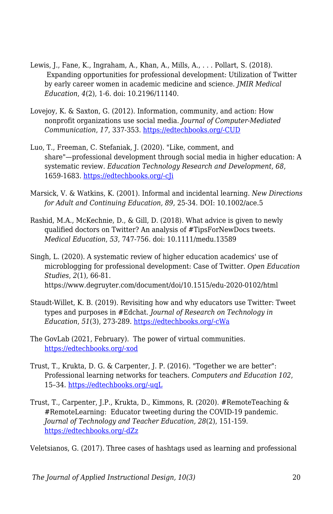- Lewis, J., Fane, K., Ingraham, A., Khan, A., Mills, A., . . . Pollart, S. (2018). Expanding opportunities for professional development: Utilization of Twitter by early career women in academic medicine and science. *JMIR Medical Education*, *4*(2), 1-6. doi: 10.2196/11140.
- Lovejoy, K. & Saxton, G. (2012). Information, community, and action: How nonprofit organizations use social media. *Journal of Computer-Mediated Communication*, *17*, 337-353. [https://edtechbooks.org/-CUD](https://doi.org/10.1111/j.1083-6101.2012.01576.x)
- Luo, T., Freeman, C. Stefaniak, J. (2020). "Like, comment, and share"—professional development through social media in higher education: A systematic review. *Education Technology Research and Development, 68*, 1659-1683. [https://edtechbooks.org/-cJi](https://doi.org/10.1007/s11423-020-09790-5)
- Marsick, V. & Watkins, K. (2001). Informal and incidental learning. *New Directions for Adult and Continuing Education, 89*, 25-34. DOI: 10.1002/ace.5
- Rashid, M.A., McKechnie, D., & Gill, D. (2018). What advice is given to newly qualified doctors on Twitter? An analysis of #TipsForNewDocs tweets. *Medical Education*, *53*, 747-756. doi: 10.1111/medu.13589
- Singh, L. (2020). A systematic review of higher education academics' use of microblogging for professional development: Case of Twitter. *Open Education Studies*, *2*(1), 66-81. https://www.degruyter.com/document/doi/10.1515/edu-2020-0102/html
- Staudt-Willet, K. B. (2019). Revisiting how and why educators use Twitter: Tweet types and purposes in #Edchat. *Journal of Research on Technology in Education*, *51*(3), 273-289. [https://edtechbooks.org/-cWa](https://doi.org/10.1080/15391523.2019.1611507)
- The GovLab (2021, February). The power of virtual communities. [https://edtechbooks.org/-xod](https://virtual-communities.thegovlab.org/files/DTR_report_en_EN.pdf)
- Trust, T., Krukta, D. G. & Carpenter, J. P. (2016). "Together we are better": Professional learning networks for teachers. *Computers and Education 102*, 15–34. [https://edtechbooks.org/-uqL](https://doi.org/10.1016/j.compedu.2016.06.007)
- Trust, T., Carpenter, J.P., Krukta, D., Kimmons, R. (2020). #RemoteTeaching & #RemoteLearning: Educator tweeting during the COVID-19 pandemic. *Journal of Technology and Teacher Education, 28*(2), 151-159. [https://edtechbooks.org/-dZz](https://www.learntechlib.org/primary/p/216094/)

Veletsianos, G. (2017). Three cases of hashtags used as learning and professional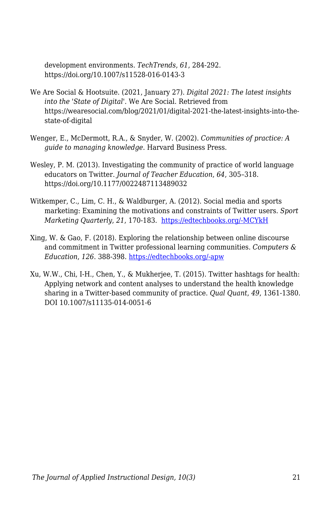development environments. *TechTrends*, *61*, 284-292. https://doi.org/10.1007/s11528-016-0143-3

- We Are Social & Hootsuite. (2021, January 27). *Digital 2021: The latest insights into the 'State of Digital'*. We Are Social. Retrieved from https://wearesocial.com/blog/2021/01/digital-2021-the-latest-insights-into-thestate-of-digital
- Wenger, E., McDermott, R.A., & Snyder, W. (2002). *Communities of practice: A guide to managing knowledge.* Harvard Business Press.
- Wesley, P. M. (2013). Investigating the community of practice of world language educators on Twitter. *Journal of Teacher Education*, *64*, 305–318. https://doi.org/10.1177/0022487113489032
- Witkemper, C., Lim, C. H., & Waldburger, A. (2012). Social media and sports marketing: Examining the motivations and constraints of Twitter users. *Sport Marketing Quarterly*, *21*, 170-183. [https://edtechbooks.org/-MCYkH](https://is.muni.cz/el/1423/podzim2013/ZUR589b/um/SM_W8_Twitter_Sports_Marketing.pdf)
- Xing, W. & Gao, F. (2018). Exploring the relationship between online discourse and commitment in Twitter professional learning communities. *Computers & Education*, *126*. 388-398. [https://edtechbooks.org/-apw](https://doi.org/10.1016/j.compedu.2018.08.010)
- Xu, W.W., Chi, I-H., Chen, Y., & Mukherjee, T. (2015). Twitter hashtags for health: Applying network and content analyses to understand the health knowledge sharing in a Twitter-based community of practice. *Qual Quant*, *49*, 1361-1380. DOI 10.1007/s11135-014-0051-6